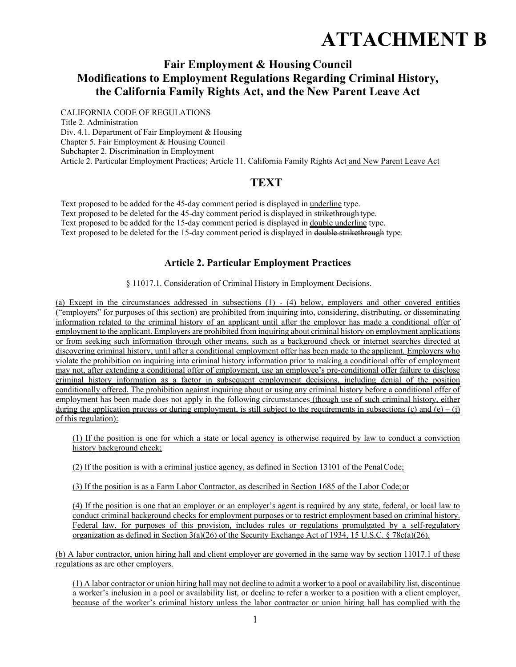# **ATTACHMENT B**

# **Fair Employment & Housing Council Modifications to Employment Regulations Regarding Criminal History, the California Family Rights Act, and the New Parent Leave Act**

CALIFORNIA CODE OF REGULATIONS Title 2. Administration Div. 4.1. Department of Fair Employment & Housing Chapter 5. Fair Employment & Housing Council Subchapter 2. Discrimination in Employment Article 2. Particular Employment Practices; Article 11. California Family Rights Act and New Parent Leave Act

# **TEXT**

Text proposed to be added for the 45-day comment period is displayed in underline type. Text proposed to be deleted for the 45-day comment period is displayed in strikethrough type. Text proposed to be added for the 15-day comment period is displayed in double underline type. Text proposed to be deleted for the 15-day comment period is displayed in double strikethrough type.

# **Article 2. Particular Employment Practices**

§ 11017.1. Consideration of Criminal History in Employment Decisions.

(a) Except in the circumstances addressed in subsections (1) - (4) below, employers and other covered entities ("employers" for purposes of this section) are prohibited from inquiring into, considering, distributing, or disseminating information related to the criminal history of an applicant until after the employer has made a conditional offer of employment to the applicant. Employers are prohibited from inquiring about criminal history on employment applications or from seeking such information through other means, such as a background check or internet searches directed at discovering criminal history, until after a conditional employment offer has been made to the applicant. Employers who violate the prohibition on inquiring into criminal history information prior to making a conditional offer of employment may not, after extending a conditional offer of employment, use an employee's pre-conditional offer failure to disclose criminal history information as a factor in subsequent employment decisions, including denial of the position conditionally offered. The prohibition against inquiring about or using any criminal history before a conditional offer of employment has been made does not apply in the following circumstances (though use of such criminal history, either during the application process or during employment, is still subject to the requirements in subsections (c) and (e) – (i) of this regulation):

(1) If the position is one for which a state or local agency is otherwise required by law to conduct a conviction history background check;

(2) If the position is with a criminal justice agency, as defined in Section 13101 of the Penal Code;

(3) If the position is as a Farm Labor Contractor, as described in Section 1685 of the Labor Code; or

(4) If the position is one that an employer or an employer's agent is required by any state, federal, or local law to conduct criminal background checks for employment purposes or to restrict employment based on criminal history. Federal law, for purposes of this provision, includes rules or regulations promulgated by a self-regulatory organization as defined in Section  $3(a)(26)$  of the Security Exchange Act of 1934, 15 U.S.C. § 78c(a)(26).

(b) A labor contractor, union hiring hall and client employer are governed in the same way by section 11017.1 of these regulations as are other employers.

(1) A labor contractor or union hiring hall may not decline to admit a worker to a pool or availability list, discontinue a worker's inclusion in a pool or availability list, or decline to refer a worker to a position with a client employer, because of the worker's criminal history unless the labor contractor or union hiring hall has complied with the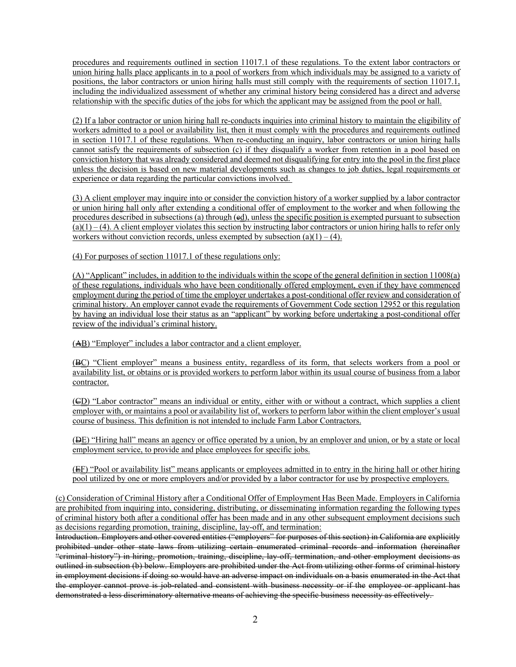procedures and requirements outlined in section 11017.1 of these regulations. To the extent labor contractors or union hiring halls place applicants in to a pool of workers from which individuals may be assigned to a variety of positions, the labor contractors or union hiring halls must still comply with the requirements of section 11017.1, including the individualized assessment of whether any criminal history being considered has a direct and adverse relationship with the specific duties of the jobs for which the applicant may be assigned from the pool or hall.

(2) If a labor contractor or union hiring hall re-conducts inquiries into criminal history to maintain the eligibility of workers admitted to a pool or availability list, then it must comply with the procedures and requirements outlined in section 11017.1 of these regulations. When re-conducting an inquiry, labor contractors or union hiring halls cannot satisfy the requirements of subsection (c) if they disqualify a worker from retention in a pool based on conviction history that was already considered and deemed not disqualifying for entry into the pool in the first place unless the decision is based on new material developments such as changes to job duties, legal requirements or experience or data regarding the particular convictions involved.

(3) A client employer may inquire into or consider the conviction history of a worker supplied by a labor contractor or union hiring hall only after extending a conditional offer of employment to the worker and when following the procedures described in subsections (a) through (ed), unless the specific position is exempted pursuant to subsection  $(a)(1) - (4)$ . A client employer violates this section by instructing labor contractors or union hiring halls to refer only workers without conviction records, unless exempted by subsection  $(a)(1) - (4)$ .

(4) For purposes of section 11017.1 of these regulations only:

(A) "Applicant" includes, in addition to the individuals within the scope of the general definition in section 11008(a) of these regulations, individuals who have been conditionally offered employment, even if they have commenced employment during the period of time the employer undertakes a post-conditional offer review and consideration of criminal history. An employer cannot evade the requirements of Government Code section 12952 or this regulation by having an individual lose their status as an "applicant" by working before undertaking a post-conditional offer review of the individual's criminal history.

(AB) "Employer" includes a labor contractor and a client employer.

(BC) "Client employer" means a business entity, regardless of its form, that selects workers from a pool or availability list, or obtains or is provided workers to perform labor within its usual course of business from a labor contractor.

(CD) "Labor contractor" means an individual or entity, either with or without a contract, which supplies a client employer with, or maintains a pool or availability list of, workers to perform labor within the client employer's usual course of business. This definition is not intended to include Farm Labor Contractors.

(DE) "Hiring hall" means an agency or office operated by a union, by an employer and union, or by a state or local employment service, to provide and place employees for specific jobs.

(EF) "Pool or availability list" means applicants or employees admitted in to entry in the hiring hall or other hiring pool utilized by one or more employers and/or provided by a labor contractor for use by prospective employers.

(c) Consideration of Criminal History after a Conditional Offer of Employment Has Been Made. Employers in California are prohibited from inquiring into, considering, distributing, or disseminating information regarding the following types of criminal history both after a conditional offer has been made and in any other subsequent employment decisions such as decisions regarding promotion, training, discipline, lay-off, and termination:

Introduction. Employers and other covered entities ("employers" for purposes of this section) in California are explicitly prohibited under other state laws from utilizing certain enumerated criminal records and information (hereinafter "criminal history") in hiring, promotion, training, discipline, lay-off, termination, and other employment decisions as outlined in subsection (b) below. Employers are prohibited under the Act from utilizing other forms of criminal history in employment decisions if doing so would have an adverse impact on individuals on a basis enumerated in the Act that the employer cannot prove is job-related and consistent with business necessity or if the employee or applicant has demonstrated a less discriminatory alternative means of achieving the specific business necessity as effectively.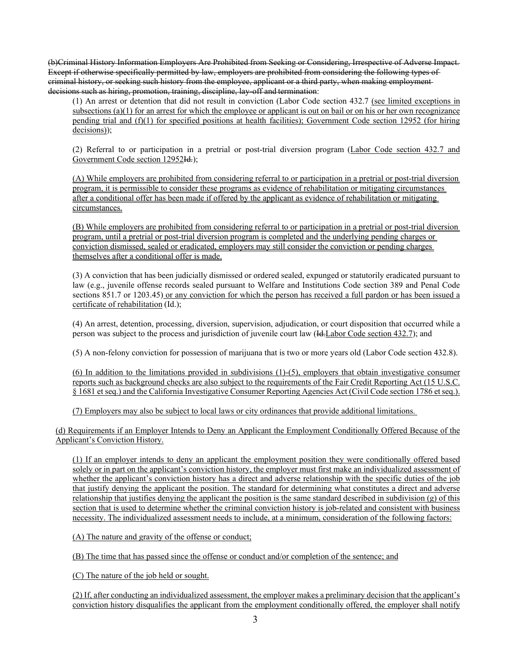(b)Criminal History Information Employers Are Prohibited from Seeking or Considering, Irrespective of Adverse Impact. Except if otherwise specifically permitted by law, employers are prohibited from considering the following types of criminal history, or seeking such history from the employee, applicant or a third party, when making employment decisions such as hiring, promotion, training, discipline, lay-off and termination:

(1) An arrest or detention that did not result in conviction (Labor Code section 432.7 (see limited exceptions in subsections (a)(1) for an arrest for which the employee or applicant is out on bail or on his or her own recognizance pending trial and (f)(1) for specified positions at health facilities); Government Code section 12952 (for hiring decisions));

(2) Referral to or participation in a pretrial or post-trial diversion program (Labor Code section 432.7 and Government Code section 12952Id.);

(A) While employers are prohibited from considering referral to or participation in a pretrial or post-trial diversion program, it is permissible to consider these programs as evidence of rehabilitation or mitigating circumstances after a conditional offer has been made if offered by the applicant as evidence of rehabilitation or mitigating circumstances.

(B) While employers are prohibited from considering referral to or participation in a pretrial or post-trial diversion program, until a pretrial or post-trial diversion program is completed and the underlying pending charges or conviction dismissed, sealed or eradicated, employers may still consider the conviction or pending charges themselves after a conditional offer is made.

(3) A conviction that has been judicially dismissed or ordered sealed, expunged or statutorily eradicated pursuant to law (e.g., juvenile offense records sealed pursuant to Welfare and Institutions Code section 389 and Penal Code sections 851.7 or 1203.45) or any conviction for which the person has received a full pardon or has been issued a certificate of rehabilitation (Id.);

(4) An arrest, detention, processing, diversion, supervision, adjudication, or court disposition that occurred while a person was subject to the process and jurisdiction of juvenile court law (Id.Labor Code section 432.7); and

(5) A non-felony conviction for possession of marijuana that is two or more years old (Labor Code section 432.8).

(6) In addition to the limitations provided in subdivisions (1)-(5), employers that obtain investigative consumer reports such as background checks are also subject to the requirements of the Fair Credit Reporting Act (15 U.S.C. § 1681 et seq.) and the California Investigative Consumer Reporting Agencies Act (Civil Code section 1786 et seq.).

(7) Employers may also be subject to local laws or city ordinances that provide additional limitations.

(d) Requirements if an Employer Intends to Deny an Applicant the Employment Conditionally Offered Because of the Applicant's Conviction History.

(1) If an employer intends to deny an applicant the employment position they were conditionally offered based solely or in part on the applicant's conviction history, the employer must first make an individualized assessment of whether the applicant's conviction history has a direct and adverse relationship with the specific duties of the job that justify denying the applicant the position. The standard for determining what constitutes a direct and adverse relationship that justifies denying the applicant the position is the same standard described in subdivision  $(g)$  of this section that is used to determine whether the criminal conviction history is job-related and consistent with business necessity. The individualized assessment needs to include, at a minimum, consideration of the following factors:

(A) The nature and gravity of the offense or conduct;

(B) The time that has passed since the offense or conduct and/or completion of the sentence; and

(C) The nature of the job held or sought.

(2) If, after conducting an individualized assessment, the employer makes a preliminary decision that the applicant's conviction history disqualifies the applicant from the employment conditionally offered, the employer shall notify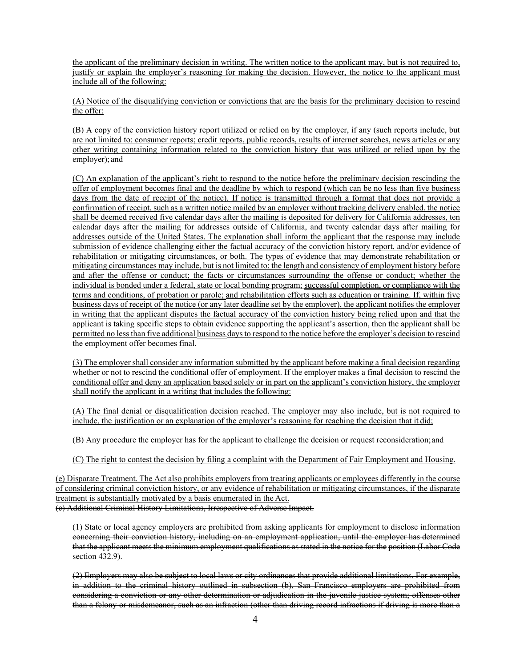the applicant of the preliminary decision in writing. The written notice to the applicant may, but is not required to, justify or explain the employer's reasoning for making the decision. However, the notice to the applicant must include all of the following:

(A) Notice of the disqualifying conviction or convictions that are the basis for the preliminary decision to rescind the offer;

(B) A copy of the conviction history report utilized or relied on by the employer, if any (such reports include, but are not limited to: consumer reports; credit reports, public records, results of internet searches, news articles or any other writing containing information related to the conviction history that was utilized or relied upon by the employer); and

(C) An explanation of the applicant's right to respond to the notice before the preliminary decision rescinding the offer of employment becomes final and the deadline by which to respond (which can be no less than five business days from the date of receipt of the notice). If notice is transmitted through a format that does not provide a confirmation of receipt, such as a written notice mailed by an employer without tracking delivery enabled, the notice shall be deemed received five calendar days after the mailing is deposited for delivery for California addresses, ten calendar days after the mailing for addresses outside of California, and twenty calendar days after mailing for addresses outside of the United States. The explanation shall inform the applicant that the response may include submission of evidence challenging either the factual accuracy of the conviction history report, and/or evidence of rehabilitation or mitigating circumstances, or both. The types of evidence that may demonstrate rehabilitation or mitigating circumstances may include, but is not limited to: the length and consistency of employment history before and after the offense or conduct; the facts or circumstances surrounding the offense or conduct; whether the individual is bonded under a federal, state or local bonding program; successful completion, or compliance with the terms and conditions, of probation or parole; and rehabilitation efforts such as education or training. If, within five business days of receipt of the notice (or any later deadline set by the employer), the applicant notifies the employer in writing that the applicant disputes the factual accuracy of the conviction history being relied upon and that the applicant is taking specific steps to obtain evidence supporting the applicant's assertion, then the applicant shall be permitted no less than five additional business days to respond to the notice before the employer's decision to rescind the employment offer becomes final.

(3) The employer shall consider any information submitted by the applicant before making a final decision regarding whether or not to rescind the conditional offer of employment. If the employer makes a final decision to rescind the conditional offer and deny an application based solely or in part on the applicant's conviction history, the employer shall notify the applicant in a writing that includes the following:

(A) The final denial or disqualification decision reached. The employer may also include, but is not required to include, the justification or an explanation of the employer's reasoning for reaching the decision that it did;

(B) Any procedure the employer has for the applicant to challenge the decision or request reconsideration; and

(C) The right to contest the decision by filing a complaint with the Department of Fair Employment and Housing.

(e) Disparate Treatment. The Act also prohibits employers from treating applicants or employees differently in the course of considering criminal conviction history, or any evidence of rehabilitation or mitigating circumstances, if the disparate treatment is substantially motivated by a basis enumerated in the Act. (c) Additional Criminal History Limitations, Irrespective of Adverse Impact.

(1) State or local agency employers are prohibited from asking applicants for employment to disclose information concerning their conviction history, including on an employment application, until the employer has determined that the applicant meets the minimum employment qualifications as stated in the notice for the position (Labor Code section 432.9).

(2) Employers may also be subject to local laws or city ordinances that provide additional limitations. For example, in addition to the criminal history outlined in subsection (b), San Francisco employers are prohibited from considering a conviction or any other determination or adjudication in the juvenile justice system; offenses other than a felony or misdemeanor, such as an infraction (other than driving record infractions if driving is more than a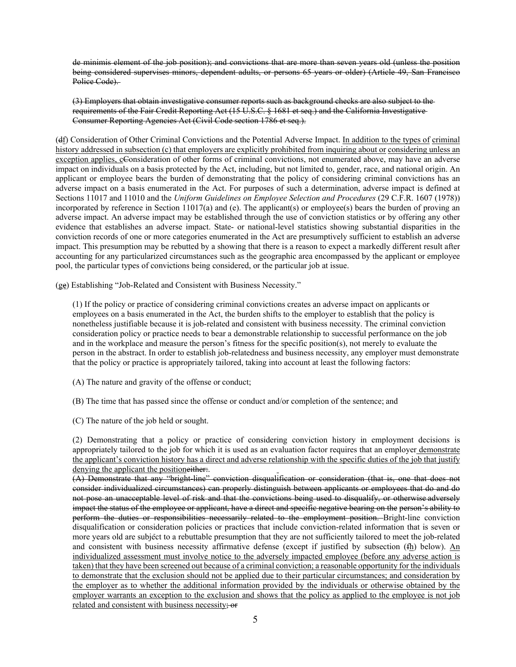de minimis element of the job position); and convictions that are more than seven years old (unless the position being considered supervises minors, dependent adults, or persons 65 years or older) (Article 49, San Francisco Police Code).

(3) Employers that obtain investigative consumer reports such as background checks are also subject to the requirements of the Fair Credit Reporting Act (15 U.S.C. § 1681 et seq.) and the California Investigative Consumer Reporting Agencies Act (Civil Code section 1786 et seq.).

(df) Consideration of Other Criminal Convictions and the Potential Adverse Impact. In addition to the types of criminal history addressed in subsection (c) that employers are explicitly prohibited from inquiring about or considering unless an exception applies, cConsideration of other forms of criminal convictions, not enumerated above, may have an adverse impact on individuals on a basis protected by the Act, including, but not limited to, gender, race, and national origin. An applicant or employee bears the burden of demonstrating that the policy of considering criminal convictions has an adverse impact on a basis enumerated in the Act. For purposes of such a determination, adverse impact is defined at Sections 11017 and 11010 and the *Uniform Guidelines on Employee Selection and Procedures* (29 C.F.R. 1607 (1978)) incorporated by reference in Section 11017(a) and (e). The applicant(s) or employee(s) bears the burden of proving an adverse impact. An adverse impact may be established through the use of conviction statistics or by offering any other evidence that establishes an adverse impact. State- or national-level statistics showing substantial disparities in the conviction records of one or more categories enumerated in the Act are presumptively sufficient to establish an adverse impact. This presumption may be rebutted by a showing that there is a reason to expect a markedly different result after accounting for any particularized circumstances such as the geographic area encompassed by the applicant or employee pool, the particular types of convictions being considered, or the particular job at issue.

(ge) Establishing "Job-Related and Consistent with Business Necessity."

(1) If the policy or practice of considering criminal convictions creates an adverse impact on applicants or employees on a basis enumerated in the Act, the burden shifts to the employer to establish that the policy is nonetheless justifiable because it is job-related and consistent with business necessity. The criminal conviction consideration policy or practice needs to bear a demonstrable relationship to successful performance on the job and in the workplace and measure the person's fitness for the specific position(s), not merely to evaluate the person in the abstract. In order to establish job-relatedness and business necessity, any employer must demonstrate that the policy or practice is appropriately tailored, taking into account at least the following factors:

(A) The nature and gravity of the offense or conduct;

(B) The time that has passed since the offense or conduct and/or completion of the sentence; and

(C) The nature of the job held or sought.

(2) Demonstrating that a policy or practice of considering conviction history in employment decisions is appropriately tailored to the job for which it is used as an evaluation factor requires that an employer demonstrate the applicant's conviction history has a direct and adverse relationship with the specific duties of the job that justify denying the applicant the positioneither.

(A) Demonstrate that any "bright-line" conviction disqualification or consideration (that is, one that does not consider individualized circumstances) can properly distinguish between applicants or employees that do and do not pose an unacceptable level of risk and that the convictions being used to disqualify, or otherwise adversely impact the status of the employee or applicant, have a direct and specific negative bearing on the person's ability to perform the duties or responsibilities necessarily related to the employment position. Bright-line conviction disqualification or consideration policies or practices that include conviction-related information that is seven or more years old are subject to a rebuttable presumption that they are not sufficiently tailored to meet the job-related and consistent with business necessity affirmative defense (except if justified by subsection (fh) below). An individualized assessment must involve notice to the adversely impacted employee (before any adverse action is taken) that they have been screened out because of a criminal conviction; a reasonable opportunity for the individuals to demonstrate that the exclusion should not be applied due to their particular circumstances; and consideration by the employer as to whether the additional information provided by the individuals or otherwise obtained by the employer warrants an exception to the exclusion and shows that the policy as applied to the employee is not job related and consistent with business necessity; or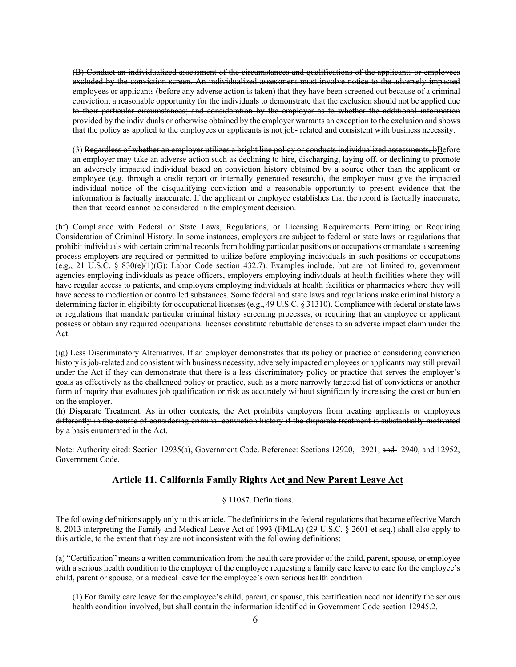(B) Conduct an individualized assessment of the circumstances and qualifications of the applicants or employees excluded by the conviction screen. An individualized assessment must involve notice to the adversely impacted employees or applicants (before any adverse action is taken) that they have been screened out because of a criminal conviction; a reasonable opportunity for the individuals to demonstrate that the exclusion should not be applied due to their particular circumstances; and consideration by the employer as to whether the additional information provided by the individuals or otherwise obtained by the employer warrants an exception to the exclusion and shows that the policy as applied to the employees or applicants is not job- related and consistent with business necessity.

(3) Regardless of whether an employer utilizes a bright line policy or conducts individualized assessments, bBefore an employer may take an adverse action such as declining to hire, discharging, laying off, or declining to promote an adversely impacted individual based on conviction history obtained by a source other than the applicant or employee (e.g. through a credit report or internally generated research), the employer must give the impacted individual notice of the disqualifying conviction and a reasonable opportunity to present evidence that the information is factually inaccurate. If the applicant or employee establishes that the record is factually inaccurate, then that record cannot be considered in the employment decision.

(hf) Compliance with Federal or State Laws, Regulations, or Licensing Requirements Permitting or Requiring Consideration of Criminal History. In some instances, employers are subject to federal or state laws or regulations that prohibit individuals with certain criminal records from holding particular positions or occupations or mandate a screening process employers are required or permitted to utilize before employing individuals in such positions or occupations (e.g., 21 U.S.C. § 830(e)(1)(G); Labor Code section 432.7). Examples include, but are not limited to, government agencies employing individuals as peace officers, employers employing individuals at health facilities where they will have regular access to patients, and employers employing individuals at health facilities or pharmacies where they will have access to medication or controlled substances. Some federal and state laws and regulations make criminal history a determining factor in eligibility for occupational licenses (e.g., 49 U.S.C. § 31310). Compliance with federal or state laws or regulations that mandate particular criminal history screening processes, or requiring that an employee or applicant possess or obtain any required occupational licenses constitute rebuttable defenses to an adverse impact claim under the Act.

(ig) Less Discriminatory Alternatives. If an employer demonstrates that its policy or practice of considering conviction history is job-related and consistent with business necessity, adversely impacted employees or applicants may still prevail under the Act if they can demonstrate that there is a less discriminatory policy or practice that serves the employer's goals as effectively as the challenged policy or practice, such as a more narrowly targeted list of convictions or another form of inquiry that evaluates job qualification or risk as accurately without significantly increasing the cost or burden on the employer.

(h) Disparate Treatment. As in other contexts, the Act prohibits employers from treating applicants or employees differently in the course of considering criminal conviction history if the disparate treatment is substantially motivated by a basis enumerated in the Act.

Note: Authority cited: Section 12935(a), Government Code. Reference: Sections 12920, 12921, and 12940, and 12952, Government Code.

## **Article 11. California Family Rights Act and New Parent Leave Act**

## § 11087. Definitions.

The following definitions apply only to this article. The definitions in the federal regulations that became effective March 8, 2013 interpreting the Family and Medical Leave Act of 1993 (FMLA) (29 U.S.C. § 2601 et seq.) shall also apply to this article, to the extent that they are not inconsistent with the following definitions:

(a) "Certification" means a written communication from the health care provider of the child, parent, spouse, or employee with a serious health condition to the employer of the employee requesting a family care leave to care for the employee's child, parent or spouse, or a medical leave for the employee's own serious health condition.

(1) For family care leave for the employee's child, parent, or spouse, this certification need not identify the serious health condition involved, but shall contain the information identified in Government Code section 12945.2.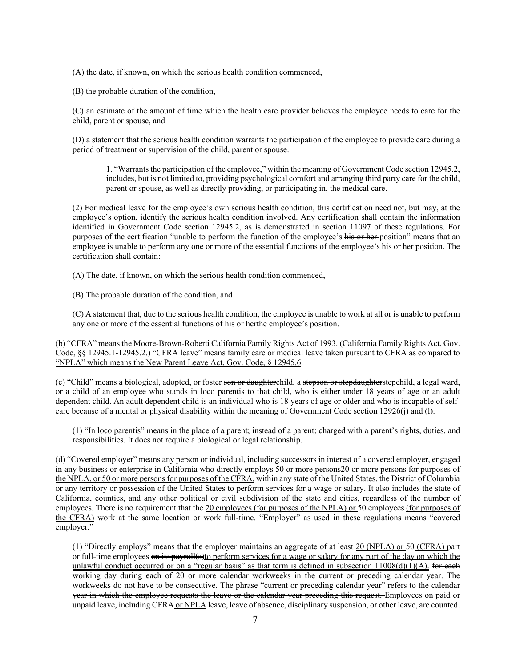(A) the date, if known, on which the serious health condition commenced,

(B) the probable duration of the condition,

(C) an estimate of the amount of time which the health care provider believes the employee needs to care for the child, parent or spouse, and

(D) a statement that the serious health condition warrants the participation of the employee to provide care during a period of treatment or supervision of the child, parent or spouse.

1. "Warrants the participation of the employee," within the meaning of Government Code section 12945.2, includes, but is not limited to, providing psychological comfort and arranging third party care for the child, parent or spouse, as well as directly providing, or participating in, the medical care.

(2) For medical leave for the employee's own serious health condition, this certification need not, but may, at the employee's option, identify the serious health condition involved. Any certification shall contain the information identified in Government Code section 12945.2, as is demonstrated in section 11097 of these regulations. For purposes of the certification "unable to perform the function of the employee's his or her position" means that an employee is unable to perform any one or more of the essential functions of the employee's his or her position. The certification shall contain:

(A) The date, if known, on which the serious health condition commenced,

(B) The probable duration of the condition, and

(C) A statement that, due to the serious health condition, the employee is unable to work at all or is unable to perform any one or more of the essential functions of his or herthe employee's position.

(b) "CFRA" means the Moore-Brown-Roberti California Family Rights Act of 1993. (California Family Rights Act, Gov. Code, §§ 12945.1-12945.2.) "CFRA leave" means family care or medical leave taken pursuant to CFRA as compared to "NPLA" which means the New Parent Leave Act, Gov. Code, § 12945.6.

(c) "Child" means a biological, adopted, or foster son or daughterchild, a stepson or stepdaughterstepchild, a legal ward, or a child of an employee who stands in loco parentis to that child, who is either under 18 years of age or an adult dependent child. An adult dependent child is an individual who is 18 years of age or older and who is incapable of selfcare because of a mental or physical disability within the meaning of Government Code section 12926(j) and (l).

(1) "In loco parentis" means in the place of a parent; instead of a parent; charged with a parent's rights, duties, and responsibilities. It does not require a biological or legal relationship.

(d) "Covered employer" means any person or individual, including successors in interest of a covered employer, engaged in any business or enterprise in California who directly employs 50 or more persons20 or more persons for purposes of the NPLA, or 50 or more persons for purposes of the CFRA, within any state of the United States, the District of Columbia or any territory or possession of the United States to perform services for a wage or salary. It also includes the state of California, counties, and any other political or civil subdivision of the state and cities, regardless of the number of employees. There is no requirement that the 20 employees (for purposes of the NPLA) or 50 employees (for purposes of the CFRA) work at the same location or work full-time. "Employer" as used in these regulations means "covered employer."

(1) "Directly employs" means that the employer maintains an aggregate of at least 20 (NPLA) or 50 (CFRA) part or full-time employees on its payroll(s)to perform services for a wage or salary for any part of the day on which the unlawful conduct occurred or on a "regular basis" as that term is defined in subsection  $11008(d)(1)(A)$ . for each working day during each of 20 or more calendar workweeks in the current or preceding calendar year. The workweeks do not have to be consecutive. The phrase "current or preceding calendar year" refers to the calendar year in which the employee requests the leave or the calendar year preceding this request. Employees on paid or unpaid leave, including CFRA or NPLA leave, leave of absence, disciplinary suspension, or other leave, are counted.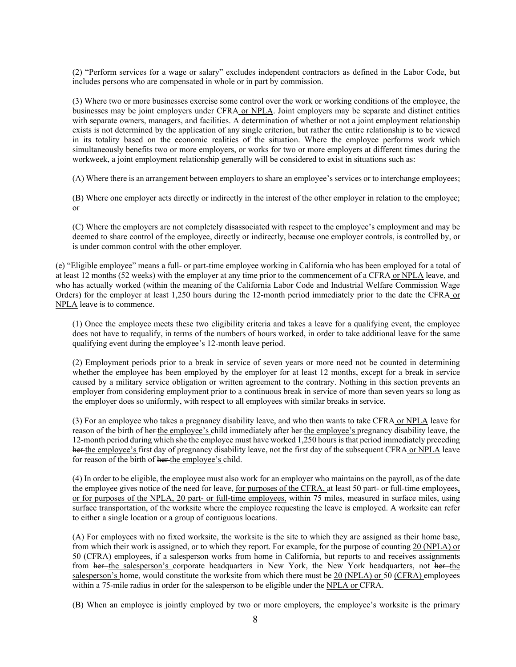(2) "Perform services for a wage or salary" excludes independent contractors as defined in the Labor Code, but includes persons who are compensated in whole or in part by commission.

(3) Where two or more businesses exercise some control over the work or working conditions of the employee, the businesses may be joint employers under CFRA or NPLA. Joint employers may be separate and distinct entities with separate owners, managers, and facilities. A determination of whether or not a joint employment relationship exists is not determined by the application of any single criterion, but rather the entire relationship is to be viewed in its totality based on the economic realities of the situation. Where the employee performs work which simultaneously benefits two or more employers, or works for two or more employers at different times during the workweek, a joint employment relationship generally will be considered to exist in situations such as:

(A) Where there is an arrangement between employers to share an employee's services or to interchange employees;

(B) Where one employer acts directly or indirectly in the interest of the other employer in relation to the employee; or

(C) Where the employers are not completely disassociated with respect to the employee's employment and may be deemed to share control of the employee, directly or indirectly, because one employer controls, is controlled by, or is under common control with the other employer.

(e) "Eligible employee" means a full- or part-time employee working in California who has been employed for a total of at least 12 months (52 weeks) with the employer at any time prior to the commencement of a CFRA or NPLA leave, and who has actually worked (within the meaning of the California Labor Code and Industrial Welfare Commission Wage Orders) for the employer at least 1,250 hours during the 12-month period immediately prior to the date the CFRA or NPLA leave is to commence.

(1) Once the employee meets these two eligibility criteria and takes a leave for a qualifying event, the employee does not have to requalify, in terms of the numbers of hours worked, in order to take additional leave for the same qualifying event during the employee's 12-month leave period.

(2) Employment periods prior to a break in service of seven years or more need not be counted in determining whether the employee has been employed by the employer for at least 12 months, except for a break in service caused by a military service obligation or written agreement to the contrary. Nothing in this section prevents an employer from considering employment prior to a continuous break in service of more than seven years so long as the employer does so uniformly, with respect to all employees with similar breaks in service.

(3) For an employee who takes a pregnancy disability leave, and who then wants to take CFRA or NPLA leave for reason of the birth of her the employee's child immediately after her the employee's pregnancy disability leave, the 12-month period during which she the employee must have worked 1,250 hours is that period immediately preceding her the employee's first day of pregnancy disability leave, not the first day of the subsequent CFRA or NPLA leave for reason of the birth of her the employee's child.

(4) In order to be eligible, the employee must also work for an employer who maintains on the payroll, as of the date the employee gives notice of the need for leave, for purposes of the CFRA, at least 50 part- or full-time employees, or for purposes of the NPLA, 20 part- or full-time employees, within 75 miles, measured in surface miles, using surface transportation, of the worksite where the employee requesting the leave is employed. A worksite can refer to either a single location or a group of contiguous locations.

(A) For employees with no fixed worksite, the worksite is the site to which they are assigned as their home base, from which their work is assigned, or to which they report. For example, for the purpose of counting 20 (NPLA) or 50 (CFRA) employees, if a salesperson works from home in California, but reports to and receives assignments from her the salesperson's corporate headquarters in New York, the New York headquarters, not her the salesperson's home, would constitute the worksite from which there must be 20 (NPLA) or 50 (CFRA) employees within a 75-mile radius in order for the salesperson to be eligible under the NPLA or CFRA.

(B) When an employee is jointly employed by two or more employers, the employee's worksite is the primary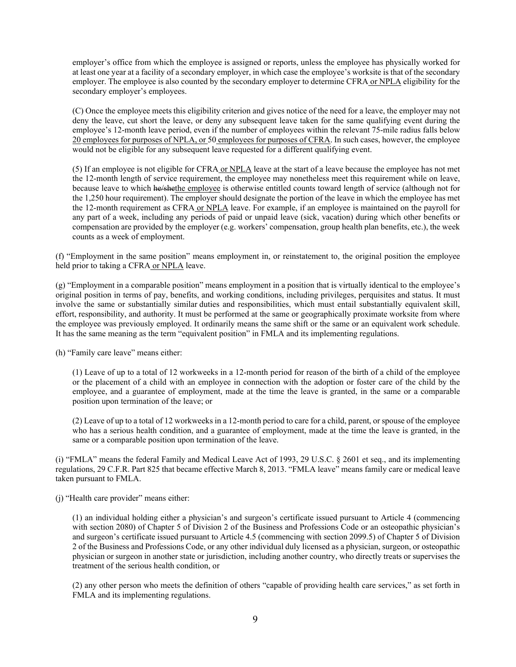employer's office from which the employee is assigned or reports, unless the employee has physically worked for at least one year at a facility of a secondary employer, in which case the employee's worksite is that of the secondary employer. The employee is also counted by the secondary employer to determine CFRA or NPLA eligibility for the secondary employer's employees.

(C) Once the employee meets this eligibility criterion and gives notice of the need for a leave, the employer may not deny the leave, cut short the leave, or deny any subsequent leave taken for the same qualifying event during the employee's 12-month leave period, even if the number of employees within the relevant 75-mile radius falls below 20 employees for purposes of NPLA, or 50 employees for purposes of CFRA. In such cases, however, the employee would not be eligible for any subsequent leave requested for a different qualifying event.

(5) If an employee is not eligible for CFRA or NPLA leave at the start of a leave because the employee has not met the 12-month length of service requirement, the employee may nonetheless meet this requirement while on leave, because leave to which he/shethe employee is otherwise entitled counts toward length of service (although not for the 1,250 hour requirement). The employer should designate the portion of the leave in which the employee has met the 12-month requirement as CFRA or NPLA leave. For example, if an employee is maintained on the payroll for any part of a week, including any periods of paid or unpaid leave (sick, vacation) during which other benefits or compensation are provided by the employer (e.g. workers' compensation, group health plan benefits, etc.), the week counts as a week of employment.

(f) "Employment in the same position" means employment in, or reinstatement to, the original position the employee held prior to taking a CFRA or NPLA leave.

(g) "Employment in a comparable position" means employment in a position that is virtually identical to the employee's original position in terms of pay, benefits, and working conditions, including privileges, perquisites and status. It must involve the same or substantially similar duties and responsibilities, which must entail substantially equivalent skill, effort, responsibility, and authority. It must be performed at the same or geographically proximate worksite from where the employee was previously employed. It ordinarily means the same shift or the same or an equivalent work schedule. It has the same meaning as the term "equivalent position" in FMLA and its implementing regulations.

(h) "Family care leave" means either:

(1) Leave of up to a total of 12 workweeks in a 12-month period for reason of the birth of a child of the employee or the placement of a child with an employee in connection with the adoption or foster care of the child by the employee, and a guarantee of employment, made at the time the leave is granted, in the same or a comparable position upon termination of the leave; or

(2) Leave of up to a total of 12 workweeks in a 12-month period to care for a child, parent, or spouse of the employee who has a serious health condition, and a guarantee of employment, made at the time the leave is granted, in the same or a comparable position upon termination of the leave.

(i) "FMLA" means the federal Family and Medical Leave Act of 1993, 29 U.S.C. § 2601 et seq., and its implementing regulations, 29 C.F.R. Part 825 that became effective March 8, 2013. "FMLA leave" means family care or medical leave taken pursuant to FMLA.

(j) "Health care provider" means either:

(1) an individual holding either a physician's and surgeon's certificate issued pursuant to Article 4 (commencing with section 2080) of Chapter 5 of Division 2 of the Business and Professions Code or an osteopathic physician's and surgeon's certificate issued pursuant to Article 4.5 (commencing with section 2099.5) of Chapter 5 of Division 2 of the Business and Professions Code, or any other individual duly licensed as a physician, surgeon, or osteopathic physician or surgeon in another state or jurisdiction, including another country, who directly treats or supervises the treatment of the serious health condition, or

(2) any other person who meets the definition of others "capable of providing health care services," as set forth in FMLA and its implementing regulations.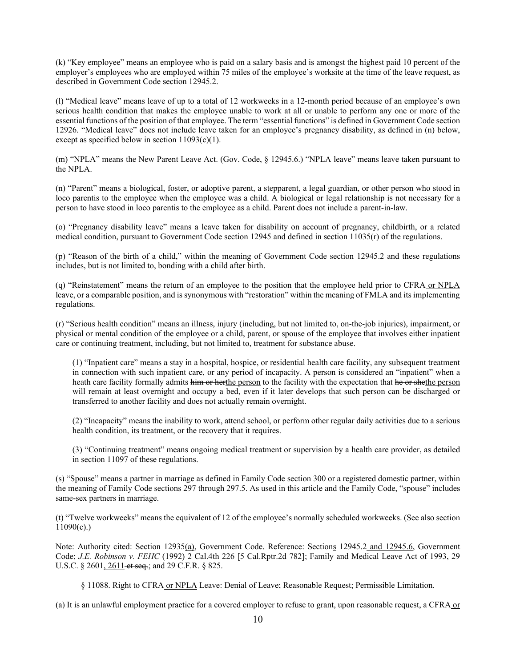(k) "Key employee" means an employee who is paid on a salary basis and is amongst the highest paid 10 percent of the employer's employees who are employed within 75 miles of the employee's worksite at the time of the leave request, as described in Government Code section 12945.2.

(l) "Medical leave" means leave of up to a total of 12 workweeks in a 12-month period because of an employee's own serious health condition that makes the employee unable to work at all or unable to perform any one or more of the essential functions of the position of that employee. The term "essential functions" is defined in Government Code section 12926. "Medical leave" does not include leave taken for an employee's pregnancy disability, as defined in (n) below, except as specified below in section 11093(c)(1).

(m) "NPLA" means the New Parent Leave Act. (Gov. Code, § 12945.6.) "NPLA leave" means leave taken pursuant to the NPLA.

(n) "Parent" means a biological, foster, or adoptive parent, a stepparent, a legal guardian, or other person who stood in loco parentis to the employee when the employee was a child. A biological or legal relationship is not necessary for a person to have stood in loco parentis to the employee as a child. Parent does not include a parent-in-law.

(o) "Pregnancy disability leave" means a leave taken for disability on account of pregnancy, childbirth, or a related medical condition, pursuant to Government Code section 12945 and defined in section 11035(r) of the regulations.

(p) "Reason of the birth of a child," within the meaning of Government Code section 12945.2 and these regulations includes, but is not limited to, bonding with a child after birth.

(q) "Reinstatement" means the return of an employee to the position that the employee held prior to CFRA or NPLA leave, or a comparable position, and is synonymous with "restoration" within the meaning of FMLA and its implementing regulations.

(r) "Serious health condition" means an illness, injury (including, but not limited to, on-the-job injuries), impairment, or physical or mental condition of the employee or a child, parent, or spouse of the employee that involves either inpatient care or continuing treatment, including, but not limited to, treatment for substance abuse.

(1) "Inpatient care" means a stay in a hospital, hospice, or residential health care facility, any subsequent treatment in connection with such inpatient care, or any period of incapacity. A person is considered an "inpatient" when a heath care facility formally admits him or herthe person to the facility with the expectation that he or shethe person will remain at least overnight and occupy a bed, even if it later develops that such person can be discharged or transferred to another facility and does not actually remain overnight.

(2) "Incapacity" means the inability to work, attend school, or perform other regular daily activities due to a serious health condition, its treatment, or the recovery that it requires.

(3) "Continuing treatment" means ongoing medical treatment or supervision by a health care provider, as detailed in section 11097 of these regulations.

(s) "Spouse" means a partner in marriage as defined in Family Code section 300 or a registered domestic partner, within the meaning of Family Code sections 297 through 297.5. As used in this article and the Family Code, "spouse" includes same-sex partners in marriage.

(t) "Twelve workweeks" means the equivalent of 12 of the employee's normally scheduled workweeks. (See also section  $11090(c)$ .)

Note: Authority cited: Section 12935(a), Government Code. Reference: Sections 12945.2 and 12945.6, Government Code; *J.E. Robinson v. FEHC* (1992) 2 Cal.4th 226 [5 Cal.Rptr.2d 782]; Family and Medical Leave Act of 1993, 29 U.S.C. § 2601, 2611 et seq.; and 29 C.F.R. § 825.

§ 11088. Right to CFRA or NPLA Leave: Denial of Leave; Reasonable Request; Permissible Limitation.

(a) It is an unlawful employment practice for a covered employer to refuse to grant, upon reasonable request, a CFRA or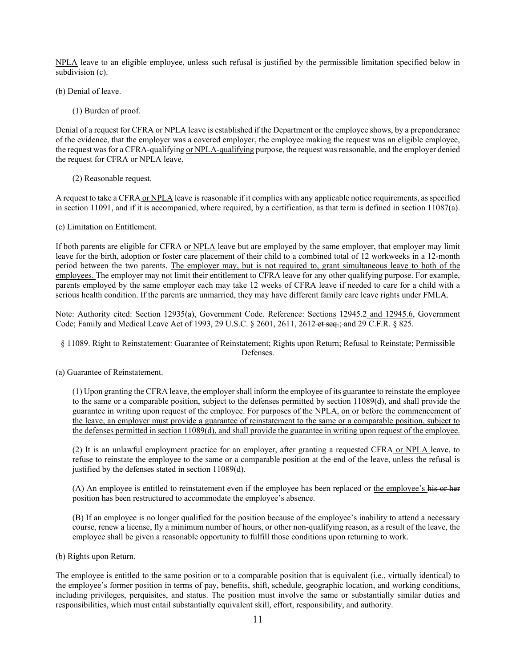NPLA leave to an eligible employee, unless such refusal is justified by the permissible limitation specified below in subdivision (c).

(b) Denial of leave.

(1) Burden of proof.

Denial of a request for CFRA or NPLA leave is established if the Department or the employee shows, by a preponderance of the evidence, that the employer was a covered employer, the employee making the request was an eligible employee, the request was for a CFRA-qualifying or NPLA-qualifying purpose, the request was reasonable, and the employer denied the request for CFRA or NPLA leave.

(2) Reasonable request.

A request to take a CFRA or NPLA leave is reasonable if it complies with any applicable notice requirements, as specified in section 11091, and if it is accompanied, where required, by a certification, as that term is defined in section 11087(a).

(c) Limitation on Entitlement.

If both parents are eligible for CFRA or NPLA leave but are employed by the same employer, that employer may limit leave for the birth, adoption or foster care placement of their child to a combined total of 12 workweeks in a 12-month period between the two parents. The employer may, but is not required to, grant simultaneous leave to both of the employees. The employer may not limit their entitlement to CFRA leave for any other qualifying purpose. For example, parents employed by the same employer each may take 12 weeks of CFRA leave if needed to care for a child with a serious health condition. If the parents are unmarried, they may have different family care leave rights under FMLA.

Note: Authority cited: Section 12935(a), Government Code. Reference: Sections 12945.2 and 12945.6, Government Code; Family and Medical Leave Act of 1993, 29 U.S.C. § 2601, 2611, 2612 et seq.; and 29 C.F.R. § 825.

§ 11089. Right to Reinstatement: Guarantee of Reinstatement; Rights upon Return; Refusal to Reinstate; Permissible Defenses.

(a) Guarantee of Reinstatement.

(1) Upon granting the CFRA leave, the employer shall inform the employee of its guarantee to reinstate the employee to the same or a comparable position, subject to the defenses permitted by section 11089(d), and shall provide the guarantee in writing upon request of the employee. For purposes of the NPLA, on or before the commencement of the leave, an employer must provide a guarantee of reinstatement to the same or a comparable position, subject to the defenses permitted in section 11089(d), and shall provide the guarantee in writing upon request of the employee.

(2) It is an unlawful employment practice for an employer, after granting a requested CFRA or NPLA leave, to refuse to reinstate the employee to the same or a comparable position at the end of the leave, unless the refusal is justified by the defenses stated in section 11089(d).

(A) An employee is entitled to reinstatement even if the employee has been replaced or the employee's his or her position has been restructured to accommodate the employee's absence.

(B) If an employee is no longer qualified for the position because of the employee's inability to attend a necessary course, renew a license, fly a minimum number of hours, or other non-qualifying reason, as a result of the leave, the employee shall be given a reasonable opportunity to fulfill those conditions upon returning to work.

(b) Rights upon Return.

The employee is entitled to the same position or to a comparable position that is equivalent (i.e., virtually identical) to the employee's former position in terms of pay, benefits, shift, schedule, geographic location, and working conditions, including privileges, perquisites, and status. The position must involve the same or substantially similar duties and responsibilities, which must entail substantially equivalent skill, effort, responsibility, and authority.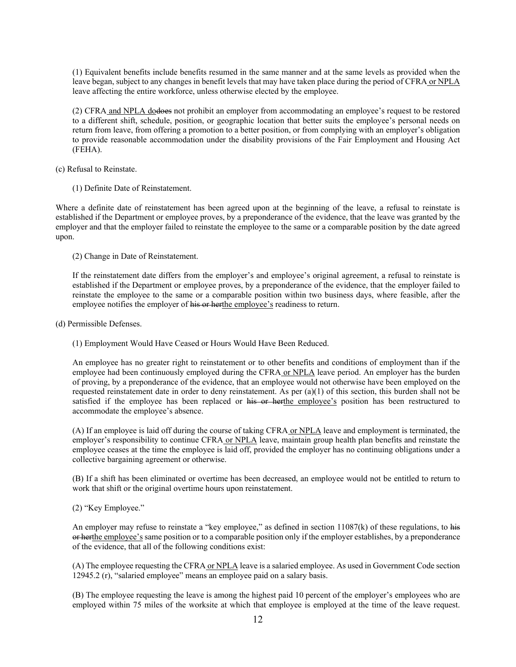(1) Equivalent benefits include benefits resumed in the same manner and at the same levels as provided when the leave began, subject to any changes in benefit levels that may have taken place during the period of CFRA or NPLA leave affecting the entire workforce, unless otherwise elected by the employee.

(2) CFRA and NPLA dodoes not prohibit an employer from accommodating an employee's request to be restored to a different shift, schedule, position, or geographic location that better suits the employee's personal needs on return from leave, from offering a promotion to a better position, or from complying with an employer's obligation to provide reasonable accommodation under the disability provisions of the Fair Employment and Housing Act (FEHA).

(c) Refusal to Reinstate.

(1) Definite Date of Reinstatement.

Where a definite date of reinstatement has been agreed upon at the beginning of the leave, a refusal to reinstate is established if the Department or employee proves, by a preponderance of the evidence, that the leave was granted by the employer and that the employer failed to reinstate the employee to the same or a comparable position by the date agreed upon.

(2) Change in Date of Reinstatement.

If the reinstatement date differs from the employer's and employee's original agreement, a refusal to reinstate is established if the Department or employee proves, by a preponderance of the evidence, that the employer failed to reinstate the employee to the same or a comparable position within two business days, where feasible, after the employee notifies the employer of his or herthe employee's readiness to return.

(d) Permissible Defenses.

(1) Employment Would Have Ceased or Hours Would Have Been Reduced.

An employee has no greater right to reinstatement or to other benefits and conditions of employment than if the employee had been continuously employed during the CFRA or NPLA leave period. An employer has the burden of proving, by a preponderance of the evidence, that an employee would not otherwise have been employed on the requested reinstatement date in order to deny reinstatement. As per (a)(1) of this section, this burden shall not be satisfied if the employee has been replaced or his or herthe employee's position has been restructured to accommodate the employee's absence.

(A) If an employee is laid off during the course of taking CFRA or NPLA leave and employment is terminated, the employer's responsibility to continue CFRA or NPLA leave, maintain group health plan benefits and reinstate the employee ceases at the time the employee is laid off, provided the employer has no continuing obligations under a collective bargaining agreement or otherwise.

(B) If a shift has been eliminated or overtime has been decreased, an employee would not be entitled to return to work that shift or the original overtime hours upon reinstatement.

#### (2) "Key Employee."

An employer may refuse to reinstate a "key employee," as defined in section  $11087(k)$  of these regulations, to his or herthe employee's same position or to a comparable position only if the employer establishes, by a preponderance of the evidence, that all of the following conditions exist:

(A) The employee requesting the CFRA or NPLA leave is a salaried employee. As used in Government Code section 12945.2 (r), "salaried employee" means an employee paid on a salary basis.

(B) The employee requesting the leave is among the highest paid 10 percent of the employer's employees who are employed within 75 miles of the worksite at which that employee is employed at the time of the leave request.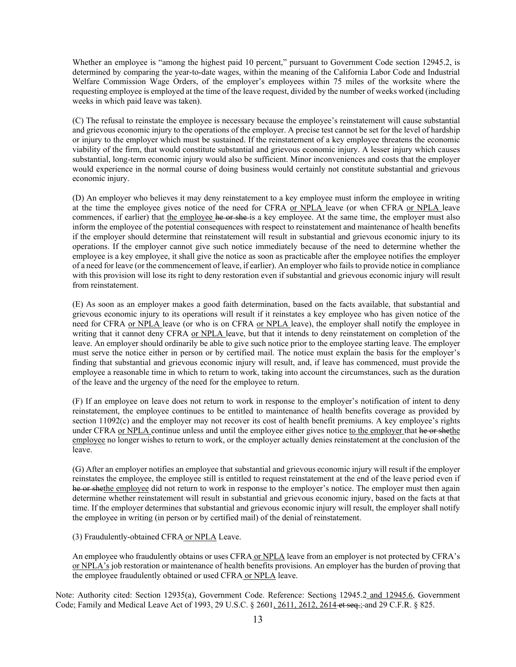Whether an employee is "among the highest paid 10 percent," pursuant to Government Code section 12945.2, is determined by comparing the year-to-date wages, within the meaning of the California Labor Code and Industrial Welfare Commission Wage Orders, of the employer's employees within 75 miles of the worksite where the requesting employee is employed at the time of the leave request, divided by the number of weeks worked (including weeks in which paid leave was taken).

(C) The refusal to reinstate the employee is necessary because the employee's reinstatement will cause substantial and grievous economic injury to the operations of the employer. A precise test cannot be set for the level of hardship or injury to the employer which must be sustained. If the reinstatement of a key employee threatens the economic viability of the firm, that would constitute substantial and grievous economic injury. A lesser injury which causes substantial, long-term economic injury would also be sufficient. Minor inconveniences and costs that the employer would experience in the normal course of doing business would certainly not constitute substantial and grievous economic injury.

(D) An employer who believes it may deny reinstatement to a key employee must inform the employee in writing at the time the employee gives notice of the need for CFRA or NPLA leave (or when CFRA or NPLA leave commences, if earlier) that the employee he or she-is a key employee. At the same time, the employer must also inform the employee of the potential consequences with respect to reinstatement and maintenance of health benefits if the employer should determine that reinstatement will result in substantial and grievous economic injury to its operations. If the employer cannot give such notice immediately because of the need to determine whether the employee is a key employee, it shall give the notice as soon as practicable after the employee notifies the employer of a need for leave (or the commencement of leave, if earlier). An employer who fails to provide notice in compliance with this provision will lose its right to deny restoration even if substantial and grievous economic injury will result from reinstatement.

(E) As soon as an employer makes a good faith determination, based on the facts available, that substantial and grievous economic injury to its operations will result if it reinstates a key employee who has given notice of the need for CFRA or NPLA leave (or who is on CFRA or NPLA leave), the employer shall notify the employee in writing that it cannot deny CFRA or NPLA leave, but that it intends to deny reinstatement on completion of the leave. An employer should ordinarily be able to give such notice prior to the employee starting leave. The employer must serve the notice either in person or by certified mail. The notice must explain the basis for the employer's finding that substantial and grievous economic injury will result, and, if leave has commenced, must provide the employee a reasonable time in which to return to work, taking into account the circumstances, such as the duration of the leave and the urgency of the need for the employee to return.

(F) If an employee on leave does not return to work in response to the employer's notification of intent to deny reinstatement, the employee continues to be entitled to maintenance of health benefits coverage as provided by section 11092(c) and the employer may not recover its cost of health benefit premiums. A key employee's rights under CFRA or NPLA continue unless and until the employee either gives notice to the employer that he or shethe employee no longer wishes to return to work, or the employer actually denies reinstatement at the conclusion of the leave.

(G) After an employer notifies an employee that substantial and grievous economic injury will result if the employer reinstates the employee, the employee still is entitled to request reinstatement at the end of the leave period even if he or shethe employee did not return to work in response to the employer's notice. The employer must then again determine whether reinstatement will result in substantial and grievous economic injury, based on the facts at that time. If the employer determines that substantial and grievous economic injury will result, the employer shall notify the employee in writing (in person or by certified mail) of the denial of reinstatement.

(3) Fraudulently-obtained CFRA or NPLA Leave.

An employee who fraudulently obtains or uses CFRA or NPLA leave from an employer is not protected by CFRA's or NPLA's job restoration or maintenance of health benefits provisions. An employer has the burden of proving that the employee fraudulently obtained or used CFRA or NPLA leave.

Note: Authority cited: Section 12935(a), Government Code. Reference: Sections 12945.2 and 12945.6, Government Code; Family and Medical Leave Act of 1993, 29 U.S.C. § 2601, 2611, 2612, 2614 et seq.; and 29 C.F.R. § 825.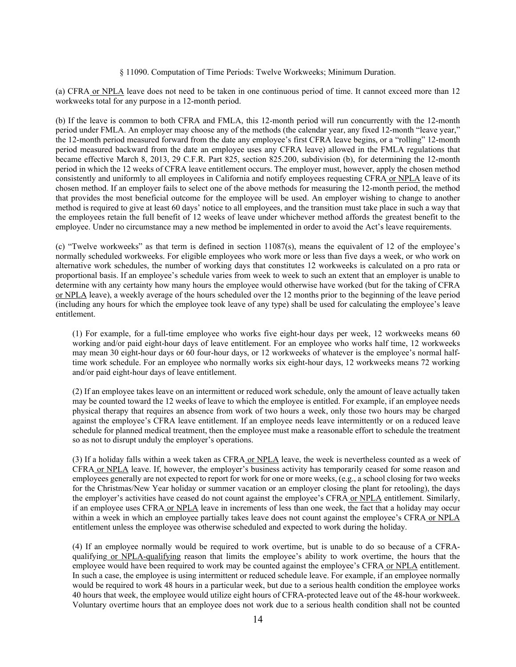#### § 11090. Computation of Time Periods: Twelve Workweeks; Minimum Duration.

(a) CFRA or NPLA leave does not need to be taken in one continuous period of time. It cannot exceed more than 12 workweeks total for any purpose in a 12-month period.

(b) If the leave is common to both CFRA and FMLA, this 12-month period will run concurrently with the 12-month period under FMLA. An employer may choose any of the methods (the calendar year, any fixed 12-month "leave year," the 12-month period measured forward from the date any employee's first CFRA leave begins, or a "rolling" 12-month period measured backward from the date an employee uses any CFRA leave) allowed in the FMLA regulations that became effective March 8, 2013, 29 C.F.R. Part 825, section 825.200, subdivision (b), for determining the 12-month period in which the 12 weeks of CFRA leave entitlement occurs. The employer must, however, apply the chosen method consistently and uniformly to all employees in California and notify employees requesting CFRA or NPLA leave of its chosen method. If an employer fails to select one of the above methods for measuring the 12-month period, the method that provides the most beneficial outcome for the employee will be used. An employer wishing to change to another method is required to give at least 60 days' notice to all employees, and the transition must take place in such a way that the employees retain the full benefit of 12 weeks of leave under whichever method affords the greatest benefit to the employee. Under no circumstance may a new method be implemented in order to avoid the Act's leave requirements.

(c) "Twelve workweeks" as that term is defined in section 11087(s), means the equivalent of 12 of the employee's normally scheduled workweeks. For eligible employees who work more or less than five days a week, or who work on alternative work schedules, the number of working days that constitutes 12 workweeks is calculated on a pro rata or proportional basis. If an employee's schedule varies from week to week to such an extent that an employer is unable to determine with any certainty how many hours the employee would otherwise have worked (but for the taking of CFRA or NPLA leave), a weekly average of the hours scheduled over the 12 months prior to the beginning of the leave period (including any hours for which the employee took leave of any type) shall be used for calculating the employee's leave entitlement.

(1) For example, for a full-time employee who works five eight-hour days per week, 12 workweeks means 60 working and/or paid eight-hour days of leave entitlement. For an employee who works half time, 12 workweeks may mean 30 eight-hour days or 60 four-hour days, or 12 workweeks of whatever is the employee's normal halftime work schedule. For an employee who normally works six eight-hour days, 12 workweeks means 72 working and/or paid eight-hour days of leave entitlement.

(2) If an employee takes leave on an intermittent or reduced work schedule, only the amount of leave actually taken may be counted toward the 12 weeks of leave to which the employee is entitled. For example, if an employee needs physical therapy that requires an absence from work of two hours a week, only those two hours may be charged against the employee's CFRA leave entitlement. If an employee needs leave intermittently or on a reduced leave schedule for planned medical treatment, then the employee must make a reasonable effort to schedule the treatment so as not to disrupt unduly the employer's operations.

(3) If a holiday falls within a week taken as CFRA or NPLA leave, the week is nevertheless counted as a week of CFRA or NPLA leave. If, however, the employer's business activity has temporarily ceased for some reason and employees generally are not expected to report for work for one or more weeks, (e.g., a school closing for two weeks for the Christmas/New Year holiday or summer vacation or an employer closing the plant for retooling), the days the employer's activities have ceased do not count against the employee's CFRA or NPLA entitlement. Similarly, if an employee uses CFRA or NPLA leave in increments of less than one week, the fact that a holiday may occur within a week in which an employee partially takes leave does not count against the employee's CFRA or NPLA entitlement unless the employee was otherwise scheduled and expected to work during the holiday.

(4) If an employee normally would be required to work overtime, but is unable to do so because of a CFRAqualifying or NPLA-qualifying reason that limits the employee's ability to work overtime, the hours that the employee would have been required to work may be counted against the employee's CFRA or NPLA entitlement. In such a case, the employee is using intermittent or reduced schedule leave. For example, if an employee normally would be required to work 48 hours in a particular week, but due to a serious health condition the employee works 40 hours that week, the employee would utilize eight hours of CFRA-protected leave out of the 48-hour workweek. Voluntary overtime hours that an employee does not work due to a serious health condition shall not be counted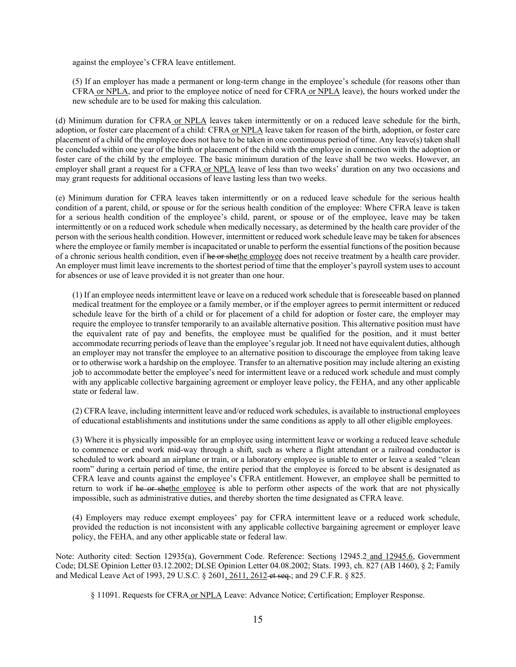against the employee's CFRA leave entitlement.

(5) If an employer has made a permanent or long-term change in the employee's schedule (for reasons other than CFRA or NPLA, and prior to the employee notice of need for CFRA or NPLA leave), the hours worked under the new schedule are to be used for making this calculation.

(d) Minimum duration for CFRA or NPLA leaves taken intermittently or on a reduced leave schedule for the birth, adoption, or foster care placement of a child: CFRA or NPLA leave taken for reason of the birth, adoption, or foster care placement of a child of the employee does not have to be taken in one continuous period of time. Any leave(s) taken shall be concluded within one year of the birth or placement of the child with the employee in connection with the adoption or foster care of the child by the employee. The basic minimum duration of the leave shall be two weeks. However, an employer shall grant a request for a CFRA or NPLA leave of less than two weeks' duration on any two occasions and may grant requests for additional occasions of leave lasting less than two weeks.

(e) Minimum duration for CFRA leaves taken intermittently or on a reduced leave schedule for the serious health condition of a parent, child, or spouse or for the serious health condition of the employee: Where CFRA leave is taken for a serious health condition of the employee's child, parent, or spouse or of the employee, leave may be taken intermittently or on a reduced work schedule when medically necessary, as determined by the health care provider of the person with the serious health condition. However, intermittent or reduced work schedule leave may be taken for absences where the employee or family member is incapacitated or unable to perform the essential functions of the position because of a chronic serious health condition, even if he or shethe employee does not receive treatment by a health care provider. An employer must limit leave increments to the shortest period of time that the employer's payroll system uses to account for absences or use of leave provided it is not greater than one hour.

(1) If an employee needs intermittent leave or leave on a reduced work schedule that is foreseeable based on planned medical treatment for the employee or a family member, or if the employer agrees to permit intermittent or reduced schedule leave for the birth of a child or for placement of a child for adoption or foster care, the employer may require the employee to transfer temporarily to an available alternative position. This alternative position must have the equivalent rate of pay and benefits, the employee must be qualified for the position, and it must better accommodate recurring periods of leave than the employee's regular job. It need not have equivalent duties, although an employer may not transfer the employee to an alternative position to discourage the employee from taking leave or to otherwise work a hardship on the employee. Transfer to an alternative position may include altering an existing job to accommodate better the employee's need for intermittent leave or a reduced work schedule and must comply with any applicable collective bargaining agreement or employer leave policy, the FEHA, and any other applicable state or federal law.

(2) CFRA leave, including intermittent leave and/or reduced work schedules, is available to instructional employees of educational establishments and institutions under the same conditions as apply to all other eligible employees.

(3) Where it is physically impossible for an employee using intermittent leave or working a reduced leave schedule to commence or end work mid-way through a shift, such as where a flight attendant or a railroad conductor is scheduled to work aboard an airplane or train, or a laboratory employee is unable to enter or leave a sealed "clean room" during a certain period of time, the entire period that the employee is forced to be absent is designated as CFRA leave and counts against the employee's CFRA entitlement. However, an employee shall be permitted to return to work if he or shethe employee is able to perform other aspects of the work that are not physically impossible, such as administrative duties, and thereby shorten the time designated as CFRA leave.

(4) Employers may reduce exempt employees' pay for CFRA intermittent leave or a reduced work schedule, provided the reduction is not inconsistent with any applicable collective bargaining agreement or employer leave policy, the FEHA, and any other applicable state or federal law.

Note: Authority cited: Section 12935(a), Government Code. Reference: Sections 12945.2 and 12945.6, Government Code; DLSE Opinion Letter 03.12.2002; DLSE Opinion Letter 04.08.2002; Stats. 1993, ch. 827 (AB 1460), § 2; Family and Medical Leave Act of 1993, 29 U.S.C. § 2601, 2611, 2612-et seq.; and 29 C.F.R. § 825.

§ 11091. Requests for CFRA or NPLA Leave: Advance Notice; Certification; Employer Response.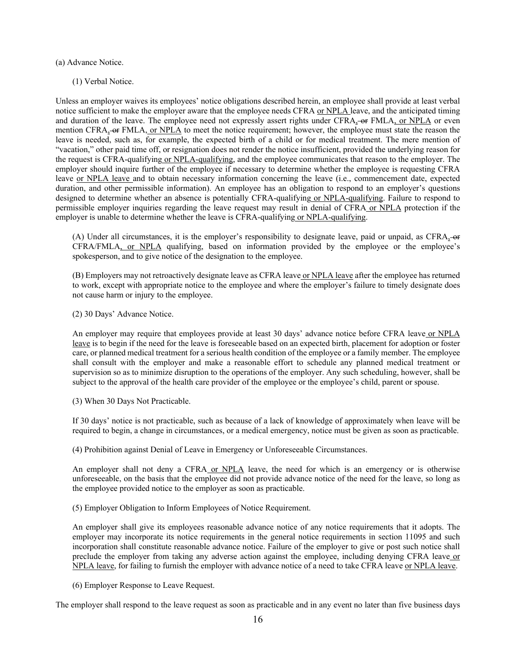(a) Advance Notice.

(1) Verbal Notice.

Unless an employer waives its employees' notice obligations described herein, an employee shall provide at least verbal notice sufficient to make the employer aware that the employee needs CFRA or NPLA leave, and the anticipated timing and duration of the leave. The employee need not expressly assert rights under CFRA, or FMLA, or NPLA or even mention CFRA, or FMLA, or NPLA to meet the notice requirement; however, the employee must state the reason the leave is needed, such as, for example, the expected birth of a child or for medical treatment. The mere mention of "vacation," other paid time off, or resignation does not render the notice insufficient, provided the underlying reason for the request is CFRA-qualifying or NPLA-qualifying, and the employee communicates that reason to the employer. The employer should inquire further of the employee if necessary to determine whether the employee is requesting CFRA leave or NPLA leave and to obtain necessary information concerning the leave (i.e., commencement date, expected duration, and other permissible information). An employee has an obligation to respond to an employer's questions designed to determine whether an absence is potentially CFRA-qualifying or NPLA-qualifying. Failure to respond to permissible employer inquiries regarding the leave request may result in denial of CFRA or NPLA protection if the employer is unable to determine whether the leave is CFRA-qualifying or NPLA-qualifying.

(A) Under all circumstances, it is the employer's responsibility to designate leave, paid or unpaid, as  $CFRA_2$ -or CFRA/FMLA, or NPLA qualifying, based on information provided by the employee or the employee's spokesperson, and to give notice of the designation to the employee.

(B) Employers may not retroactively designate leave as CFRA leave or NPLA leave after the employee has returned to work, except with appropriate notice to the employee and where the employer's failure to timely designate does not cause harm or injury to the employee.

(2) 30 Days' Advance Notice.

An employer may require that employees provide at least 30 days' advance notice before CFRA leave or NPLA leave is to begin if the need for the leave is foreseeable based on an expected birth, placement for adoption or foster care, or planned medical treatment for a serious health condition of the employee or a family member. The employee shall consult with the employer and make a reasonable effort to schedule any planned medical treatment or supervision so as to minimize disruption to the operations of the employer. Any such scheduling, however, shall be subject to the approval of the health care provider of the employee or the employee's child, parent or spouse.

(3) When 30 Days Not Practicable.

If 30 days' notice is not practicable, such as because of a lack of knowledge of approximately when leave will be required to begin, a change in circumstances, or a medical emergency, notice must be given as soon as practicable.

(4) Prohibition against Denial of Leave in Emergency or Unforeseeable Circumstances.

An employer shall not deny a CFRA or NPLA leave, the need for which is an emergency or is otherwise unforeseeable, on the basis that the employee did not provide advance notice of the need for the leave, so long as the employee provided notice to the employer as soon as practicable.

(5) Employer Obligation to Inform Employees of Notice Requirement.

An employer shall give its employees reasonable advance notice of any notice requirements that it adopts. The employer may incorporate its notice requirements in the general notice requirements in section 11095 and such incorporation shall constitute reasonable advance notice. Failure of the employer to give or post such notice shall preclude the employer from taking any adverse action against the employee, including denying CFRA leave or NPLA leave, for failing to furnish the employer with advance notice of a need to take CFRA leave or NPLA leave.

(6) Employer Response to Leave Request.

The employer shall respond to the leave request as soon as practicable and in any event no later than five business days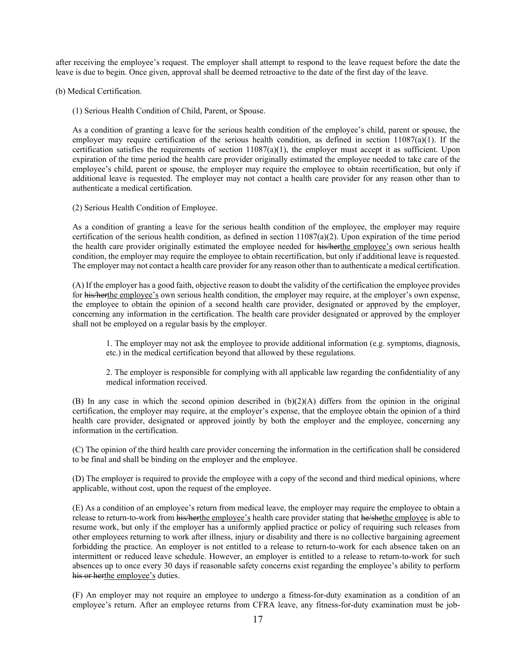after receiving the employee's request. The employer shall attempt to respond to the leave request before the date the leave is due to begin. Once given, approval shall be deemed retroactive to the date of the first day of the leave.

(b) Medical Certification.

(1) Serious Health Condition of Child, Parent, or Spouse.

As a condition of granting a leave for the serious health condition of the employee's child, parent or spouse, the employer may require certification of the serious health condition, as defined in section 11087(a)(1). If the certification satisfies the requirements of section  $11087(a)(1)$ , the employer must accept it as sufficient. Upon expiration of the time period the health care provider originally estimated the employee needed to take care of the employee's child, parent or spouse, the employer may require the employee to obtain recertification, but only if additional leave is requested. The employer may not contact a health care provider for any reason other than to authenticate a medical certification.

(2) Serious Health Condition of Employee.

As a condition of granting a leave for the serious health condition of the employee, the employer may require certification of the serious health condition, as defined in section 11087(a)(2). Upon expiration of the time period the health care provider originally estimated the employee needed for his/herthe employee's own serious health condition, the employer may require the employee to obtain recertification, but only if additional leave is requested. The employer may not contact a health care provider for any reason other than to authenticate a medical certification.

(A) If the employer has a good faith, objective reason to doubt the validity of the certification the employee provides for his/herthe employee's own serious health condition, the employer may require, at the employer's own expense, the employee to obtain the opinion of a second health care provider, designated or approved by the employer, concerning any information in the certification. The health care provider designated or approved by the employer shall not be employed on a regular basis by the employer.

1. The employer may not ask the employee to provide additional information (e.g. symptoms, diagnosis, etc.) in the medical certification beyond that allowed by these regulations.

2. The employer is responsible for complying with all applicable law regarding the confidentiality of any medical information received.

(B) In any case in which the second opinion described in  $(b)(2)(A)$  differs from the opinion in the original certification, the employer may require, at the employer's expense, that the employee obtain the opinion of a third health care provider, designated or approved jointly by both the employer and the employee, concerning any information in the certification.

(C) The opinion of the third health care provider concerning the information in the certification shall be considered to be final and shall be binding on the employer and the employee.

(D) The employer is required to provide the employee with a copy of the second and third medical opinions, where applicable, without cost, upon the request of the employee.

(E) As a condition of an employee's return from medical leave, the employer may require the employee to obtain a release to return-to-work from his/herthe employee's health care provider stating that he/shethe employee is able to resume work, but only if the employer has a uniformly applied practice or policy of requiring such releases from other employees returning to work after illness, injury or disability and there is no collective bargaining agreement forbidding the practice. An employer is not entitled to a release to return-to-work for each absence taken on an intermittent or reduced leave schedule. However, an employer is entitled to a release to return-to-work for such absences up to once every 30 days if reasonable safety concerns exist regarding the employee's ability to perform his or herthe employee's duties.

(F) An employer may not require an employee to undergo a fitness-for-duty examination as a condition of an employee's return. After an employee returns from CFRA leave, any fitness-for-duty examination must be job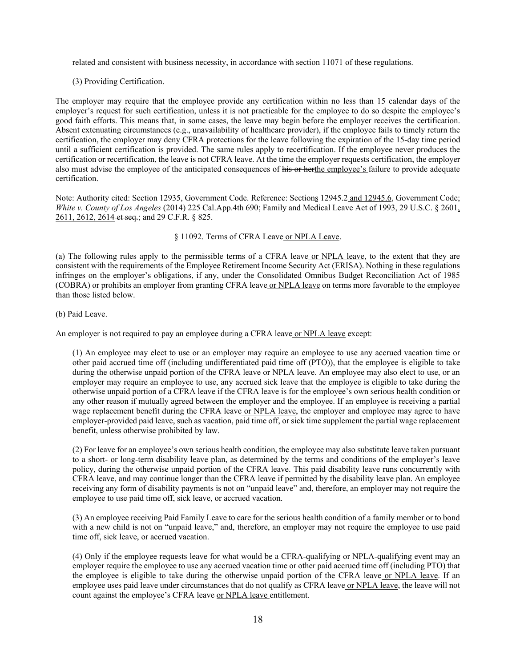related and consistent with business necessity, in accordance with section 11071 of these regulations.

(3) Providing Certification.

The employer may require that the employee provide any certification within no less than 15 calendar days of the employer's request for such certification, unless it is not practicable for the employee to do so despite the employee's good faith efforts. This means that, in some cases, the leave may begin before the employer receives the certification. Absent extenuating circumstances (e.g., unavailability of healthcare provider), if the employee fails to timely return the certification, the employer may deny CFRA protections for the leave following the expiration of the 15-day time period until a sufficient certification is provided. The same rules apply to recertification. If the employee never produces the certification or recertification, the leave is not CFRA leave. At the time the employer requests certification, the employer also must advise the employee of the anticipated consequences of his or herthe employee's failure to provide adequate certification.

Note: Authority cited: Section 12935, Government Code. Reference: Sections 12945.2 and 12945.6, Government Code; *White v. County of Los Angeles* (2014) 225 Cal.App.4th 690; Family and Medical Leave Act of 1993, 29 U.S.C. § 2601, 2611, 2612, 2614 et seq.; and 29 C.F.R. § 825.

§ 11092. Terms of CFRA Leave or NPLA Leave.

(a) The following rules apply to the permissible terms of a CFRA leave or NPLA leave, to the extent that they are consistent with the requirements of the Employee Retirement Income Security Act (ERISA). Nothing in these regulations infringes on the employer's obligations, if any, under the Consolidated Omnibus Budget Reconciliation Act of 1985 (COBRA) or prohibits an employer from granting CFRA leave or NPLA leave on terms more favorable to the employee than those listed below.

(b) Paid Leave.

An employer is not required to pay an employee during a CFRA leave or NPLA leave except:

(1) An employee may elect to use or an employer may require an employee to use any accrued vacation time or other paid accrued time off (including undifferentiated paid time off (PTO)), that the employee is eligible to take during the otherwise unpaid portion of the CFRA leave or NPLA leave. An employee may also elect to use, or an employer may require an employee to use, any accrued sick leave that the employee is eligible to take during the otherwise unpaid portion of a CFRA leave if the CFRA leave is for the employee's own serious health condition or any other reason if mutually agreed between the employer and the employee. If an employee is receiving a partial wage replacement benefit during the CFRA leave or NPLA leave, the employer and employee may agree to have employer-provided paid leave, such as vacation, paid time off, or sick time supplement the partial wage replacement benefit, unless otherwise prohibited by law.

(2) For leave for an employee's own serious health condition, the employee may also substitute leave taken pursuant to a short- or long-term disability leave plan, as determined by the terms and conditions of the employer's leave policy, during the otherwise unpaid portion of the CFRA leave. This paid disability leave runs concurrently with CFRA leave, and may continue longer than the CFRA leave if permitted by the disability leave plan. An employee receiving any form of disability payments is not on "unpaid leave" and, therefore, an employer may not require the employee to use paid time off, sick leave, or accrued vacation.

(3) An employee receiving Paid Family Leave to care for the serious health condition of a family member or to bond with a new child is not on "unpaid leave," and, therefore, an employer may not require the employee to use paid time off, sick leave, or accrued vacation.

(4) Only if the employee requests leave for what would be a CFRA-qualifying or NPLA-qualifying event may an employer require the employee to use any accrued vacation time or other paid accrued time off (including PTO) that the employee is eligible to take during the otherwise unpaid portion of the CFRA leave or NPLA leave. If an employee uses paid leave under circumstances that do not qualify as CFRA leave or NPLA leave, the leave will not count against the employee's CFRA leave or NPLA leave entitlement.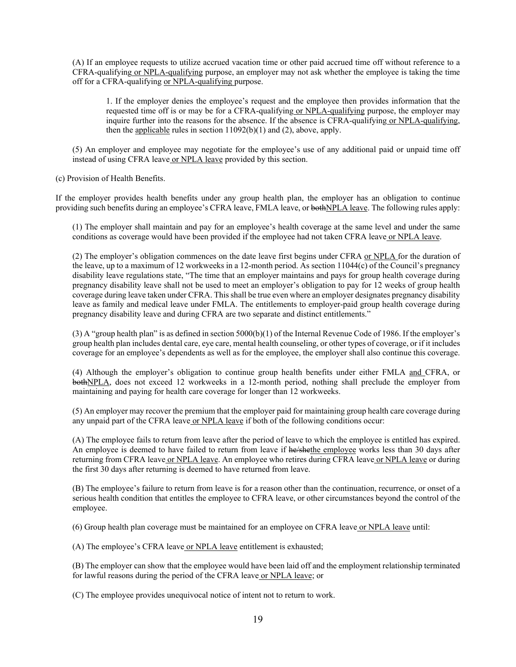(A) If an employee requests to utilize accrued vacation time or other paid accrued time off without reference to a CFRA-qualifying or NPLA-qualifying purpose, an employer may not ask whether the employee is taking the time off for a CFRA-qualifying or NPLA-qualifying purpose.

1. If the employer denies the employee's request and the employee then provides information that the requested time off is or may be for a CFRA-qualifying or NPLA-qualifying purpose, the employer may inquire further into the reasons for the absence. If the absence is CFRA-qualifying or NPLA-qualifying, then the applicable rules in section  $11092(b)(1)$  and (2), above, apply.

(5) An employer and employee may negotiate for the employee's use of any additional paid or unpaid time off instead of using CFRA leave or NPLA leave provided by this section.

(c) Provision of Health Benefits.

If the employer provides health benefits under any group health plan, the employer has an obligation to continue providing such benefits during an employee's CFRA leave, FMLA leave, or bothNPLA leave. The following rules apply:

(1) The employer shall maintain and pay for an employee's health coverage at the same level and under the same conditions as coverage would have been provided if the employee had not taken CFRA leave or NPLA leave.

(2) The employer's obligation commences on the date leave first begins under CFRA or NPLA for the duration of the leave, up to a maximum of 12 workweeks in a 12-month period. As section 11044(c) of the Council's pregnancy disability leave regulations state, "The time that an employer maintains and pays for group health coverage during pregnancy disability leave shall not be used to meet an employer's obligation to pay for 12 weeks of group health coverage during leave taken under CFRA. This shall be true even where an employer designates pregnancy disability leave as family and medical leave under FMLA. The entitlements to employer-paid group health coverage during pregnancy disability leave and during CFRA are two separate and distinct entitlements."

(3) A "group health plan" is as defined in section 5000(b)(1) of the Internal Revenue Code of 1986. If the employer's group health plan includes dental care, eye care, mental health counseling, or other types of coverage, or if it includes coverage for an employee's dependents as well as for the employee, the employer shall also continue this coverage.

(4) Although the employer's obligation to continue group health benefits under either FMLA and CFRA, or bothNPLA, does not exceed 12 workweeks in a 12-month period, nothing shall preclude the employer from maintaining and paying for health care coverage for longer than 12 workweeks.

(5) An employer may recover the premium that the employer paid for maintaining group health care coverage during any unpaid part of the CFRA leave or NPLA leave if both of the following conditions occur:

(A) The employee fails to return from leave after the period of leave to which the employee is entitled has expired. An employee is deemed to have failed to return from leave if he/shethe employee works less than 30 days after returning from CFRA leave or NPLA leave. An employee who retires during CFRA leave or NPLA leave or during the first 30 days after returning is deemed to have returned from leave.

(B) The employee's failure to return from leave is for a reason other than the continuation, recurrence, or onset of a serious health condition that entitles the employee to CFRA leave, or other circumstances beyond the control of the employee.

(6) Group health plan coverage must be maintained for an employee on CFRA leave or NPLA leave until:

(A) The employee's CFRA leave or NPLA leave entitlement is exhausted;

(B) The employer can show that the employee would have been laid off and the employment relationship terminated for lawful reasons during the period of the CFRA leave or NPLA leave; or

(C) The employee provides unequivocal notice of intent not to return to work.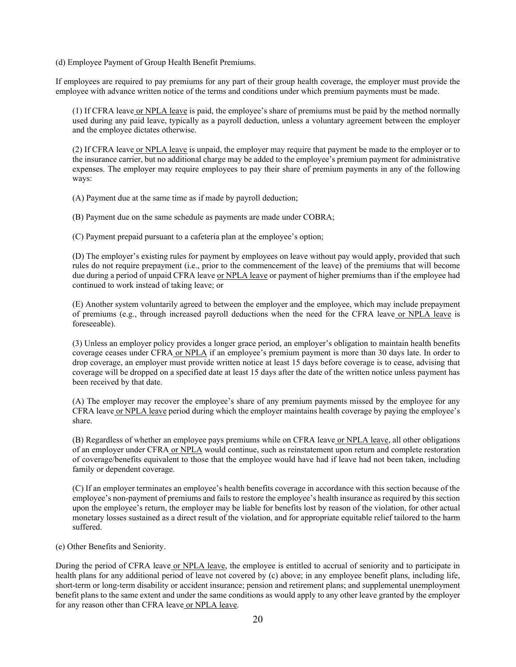(d) Employee Payment of Group Health Benefit Premiums.

If employees are required to pay premiums for any part of their group health coverage, the employer must provide the employee with advance written notice of the terms and conditions under which premium payments must be made.

(1) If CFRA leave or NPLA leave is paid, the employee's share of premiums must be paid by the method normally used during any paid leave, typically as a payroll deduction, unless a voluntary agreement between the employer and the employee dictates otherwise.

(2) If CFRA leave or NPLA leave is unpaid, the employer may require that payment be made to the employer or to the insurance carrier, but no additional charge may be added to the employee's premium payment for administrative expenses. The employer may require employees to pay their share of premium payments in any of the following ways:

(A) Payment due at the same time as if made by payroll deduction;

(B) Payment due on the same schedule as payments are made under COBRA;

(C) Payment prepaid pursuant to a cafeteria plan at the employee's option;

(D) The employer's existing rules for payment by employees on leave without pay would apply, provided that such rules do not require prepayment (i.e., prior to the commencement of the leave) of the premiums that will become due during a period of unpaid CFRA leave or NPLA leave or payment of higher premiums than if the employee had continued to work instead of taking leave; or

(E) Another system voluntarily agreed to between the employer and the employee, which may include prepayment of premiums (e.g., through increased payroll deductions when the need for the CFRA leave or NPLA leave is foreseeable).

(3) Unless an employer policy provides a longer grace period, an employer's obligation to maintain health benefits coverage ceases under CFRA or NPLA if an employee's premium payment is more than 30 days late. In order to drop coverage, an employer must provide written notice at least 15 days before coverage is to cease, advising that coverage will be dropped on a specified date at least 15 days after the date of the written notice unless payment has been received by that date.

(A) The employer may recover the employee's share of any premium payments missed by the employee for any CFRA leave or NPLA leave period during which the employer maintains health coverage by paying the employee's share.

(B) Regardless of whether an employee pays premiums while on CFRA leave or NPLA leave, all other obligations of an employer under CFRA or NPLA would continue, such as reinstatement upon return and complete restoration of coverage/benefits equivalent to those that the employee would have had if leave had not been taken, including family or dependent coverage.

(C) If an employer terminates an employee's health benefits coverage in accordance with this section because of the employee's non-payment of premiums and fails to restore the employee's health insurance as required by this section upon the employee's return, the employer may be liable for benefits lost by reason of the violation, for other actual monetary losses sustained as a direct result of the violation, and for appropriate equitable relief tailored to the harm suffered.

(e) Other Benefits and Seniority.

During the period of CFRA leave or NPLA leave, the employee is entitled to accrual of seniority and to participate in health plans for any additional period of leave not covered by (c) above; in any employee benefit plans, including life, short-term or long-term disability or accident insurance; pension and retirement plans; and supplemental unemployment benefit plans to the same extent and under the same conditions as would apply to any other leave granted by the employer for any reason other than CFRA leave or NPLA leave.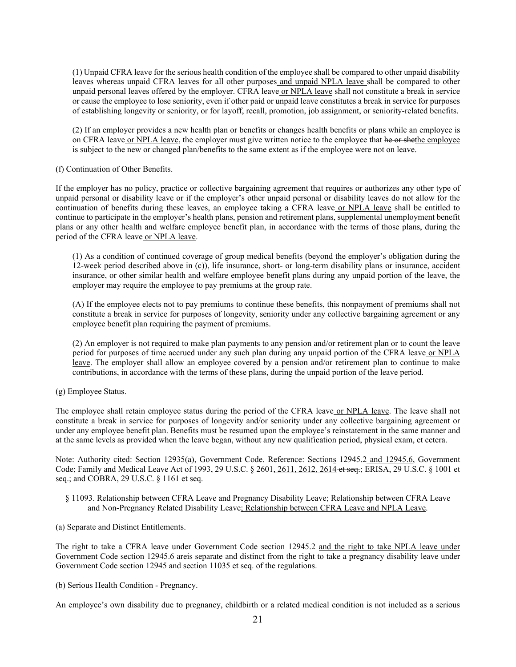(1) Unpaid CFRA leave for the serious health condition of the employee shall be compared to other unpaid disability leaves whereas unpaid CFRA leaves for all other purposes and unpaid NPLA leave shall be compared to other unpaid personal leaves offered by the employer. CFRA leave or NPLA leave shall not constitute a break in service or cause the employee to lose seniority, even if other paid or unpaid leave constitutes a break in service for purposes of establishing longevity or seniority, or for layoff, recall, promotion, job assignment, or seniority-related benefits.

(2) If an employer provides a new health plan or benefits or changes health benefits or plans while an employee is on CFRA leave or NPLA leave, the employer must give written notice to the employee that he or shethe employee is subject to the new or changed plan/benefits to the same extent as if the employee were not on leave.

(f) Continuation of Other Benefits.

If the employer has no policy, practice or collective bargaining agreement that requires or authorizes any other type of unpaid personal or disability leave or if the employer's other unpaid personal or disability leaves do not allow for the continuation of benefits during these leaves, an employee taking a CFRA leave or NPLA leave shall be entitled to continue to participate in the employer's health plans, pension and retirement plans, supplemental unemployment benefit plans or any other health and welfare employee benefit plan, in accordance with the terms of those plans, during the period of the CFRA leave or NPLA leave.

(1) As a condition of continued coverage of group medical benefits (beyond the employer's obligation during the 12-week period described above in (c)), life insurance, short- or long-term disability plans or insurance, accident insurance, or other similar health and welfare employee benefit plans during any unpaid portion of the leave, the employer may require the employee to pay premiums at the group rate.

(A) If the employee elects not to pay premiums to continue these benefits, this nonpayment of premiums shall not constitute a break in service for purposes of longevity, seniority under any collective bargaining agreement or any employee benefit plan requiring the payment of premiums.

(2) An employer is not required to make plan payments to any pension and/or retirement plan or to count the leave period for purposes of time accrued under any such plan during any unpaid portion of the CFRA leave or NPLA leave. The employer shall allow an employee covered by a pension and/or retirement plan to continue to make contributions, in accordance with the terms of these plans, during the unpaid portion of the leave period.

(g) Employee Status.

The employee shall retain employee status during the period of the CFRA leave or NPLA leave. The leave shall not constitute a break in service for purposes of longevity and/or seniority under any collective bargaining agreement or under any employee benefit plan. Benefits must be resumed upon the employee's reinstatement in the same manner and at the same levels as provided when the leave began, without any new qualification period, physical exam, et cetera.

Note: Authority cited: Section 12935(a), Government Code. Reference: Sections 12945.2 and 12945.6, Government Code; Family and Medical Leave Act of 1993, 29 U.S.C. § 2601, 2611, 2612, 2614 et seq.; ERISA, 29 U.S.C. § 1001 et seq.; and COBRA, 29 U.S.C. § 1161 et seq.

- § 11093. Relationship between CFRA Leave and Pregnancy Disability Leave; Relationship between CFRA Leave and Non-Pregnancy Related Disability Leave; Relationship between CFRA Leave and NPLA Leave.
- (a) Separate and Distinct Entitlements.

The right to take a CFRA leave under Government Code section 12945.2 and the right to take NPLA leave under Government Code section 12945.6 areis separate and distinct from the right to take a pregnancy disability leave under Government Code section 12945 and section 11035 et seq. of the regulations.

(b) Serious Health Condition - Pregnancy.

An employee's own disability due to pregnancy, childbirth or a related medical condition is not included as a serious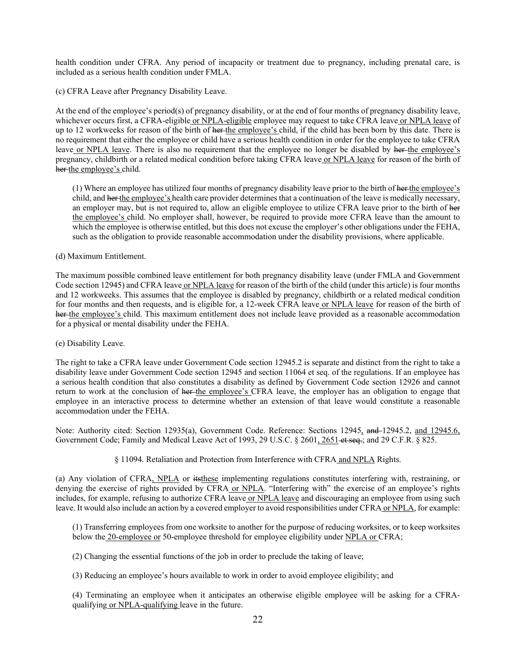health condition under CFRA. Any period of incapacity or treatment due to pregnancy, including prenatal care, is included as a serious health condition under FMLA.

(c) CFRA Leave after Pregnancy Disability Leave.

At the end of the employee's period(s) of pregnancy disability, or at the end of four months of pregnancy disability leave, whichever occurs first, a CFRA-eligible or NPLA-eligible employee may request to take CFRA leave or NPLA leave of up to 12 workweeks for reason of the birth of her the employee's child, if the child has been born by this date. There is no requirement that either the employee or child have a serious health condition in order for the employee to take CFRA leave or NPLA leave. There is also no requirement that the employee no longer be disabled by her-the employee's pregnancy, childbirth or a related medical condition before taking CFRA leave or NPLA leave for reason of the birth of her the employee's child.

(1) Where an employee has utilized four months of pregnancy disability leave prior to the birth of her the employee's child, and her the employee's health care provider determines that a continuation of the leave is medically necessary, an employer may, but is not required to, allow an eligible employee to utilize CFRA leave prior to the birth of her the employee's child. No employer shall, however, be required to provide more CFRA leave than the amount to which the employee is otherwise entitled, but this does not excuse the employer's other obligations under the FEHA, such as the obligation to provide reasonable accommodation under the disability provisions, where applicable.

(d) Maximum Entitlement.

The maximum possible combined leave entitlement for both pregnancy disability leave (under FMLA and Government Code section 12945) and CFRA leave or NPLA leave for reason of the birth of the child (under this article) is four months and 12 workweeks. This assumes that the employee is disabled by pregnancy, childbirth or a related medical condition for four months and then requests, and is eligible for, a 12-week CFRA leave or NPLA leave for reason of the birth of her the employee's child. This maximum entitlement does not include leave provided as a reasonable accommodation for a physical or mental disability under the FEHA.

(e) Disability Leave.

The right to take a CFRA leave under Government Code section 12945.2 is separate and distinct from the right to take a disability leave under Government Code section 12945 and section 11064 et seq. of the regulations. If an employee has a serious health condition that also constitutes a disability as defined by Government Code section 12926 and cannot return to work at the conclusion of her the employee's CFRA leave, the employer has an obligation to engage that employee in an interactive process to determine whether an extension of that leave would constitute a reasonable accommodation under the FEHA.

Note: Authority cited: Section 12935(a), Government Code. Reference: Sections 12945, and 12945.2, and 12945.6, Government Code; Family and Medical Leave Act of 1993, 29 U.S.C. § 2601, 2651 et seq.; and 29 C.F.R. § 825.

§ 11094. Retaliation and Protection from Interference with CFRA and NPLA Rights.

(a) Any violation of CFRA, NPLA or itsthese implementing regulations constitutes interfering with, restraining, or denying the exercise of rights provided by CFRA or NPLA. "Interfering with" the exercise of an employee's rights includes, for example, refusing to authorize CFRA leave or NPLA leave and discouraging an employee from using such leave. It would also include an action by a covered employer to avoid responsibilities under CFRA or NPLA, for example:

(1) Transferring employees from one worksite to another for the purpose of reducing worksites, or to keep worksites below the 20-employee or 50-employee threshold for employee eligibility under NPLA or CFRA;

(2) Changing the essential functions of the job in order to preclude the taking of leave;

(3) Reducing an employee's hours available to work in order to avoid employee eligibility; and

(4) Terminating an employee when it anticipates an otherwise eligible employee will be asking for a CFRAqualifying or NPLA-qualifying leave in the future.